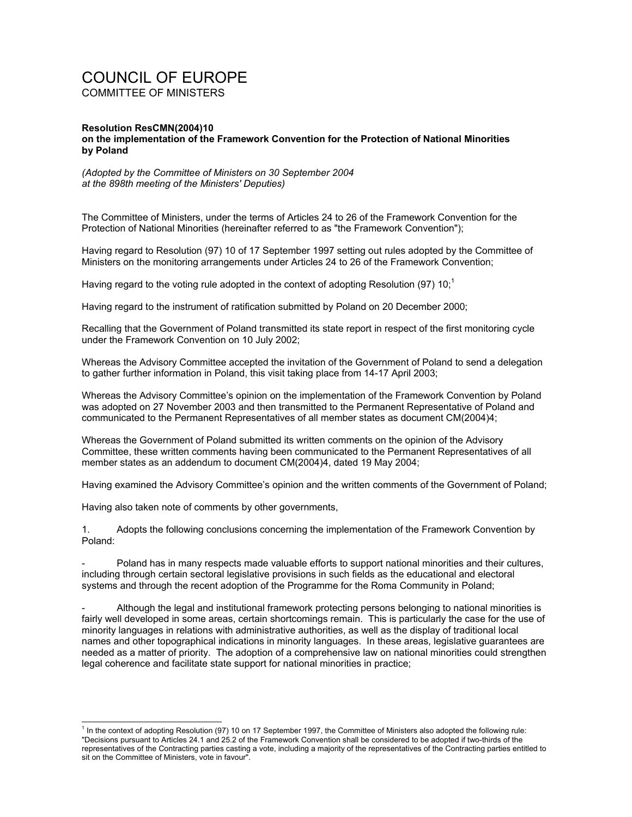## COUNCIL OF EUROPE COMMITTEE OF MINISTERS

## **Resolution ResCMN(2004)10 on the implementation of the Framework Convention for the Protection of National Minorities by Poland**

*(Adopted by the Committee of Ministers on 30 September 2004 at the 898th meeting of the Ministers' Deputies)* 

The Committee of Ministers, under the terms of Articles 24 to 26 of the Framework Convention for the Protection of National Minorities (hereinafter referred to as "the Framework Convention");

Having regard to Resolution (97) 10 of 17 September 1997 setting out rules adopted by the Committee of Ministers on the monitoring arrangements under Articles 24 to 26 of the Framework Convention;

Having regard to the voting rule adopted in the context of adopting Resolution (97)  $10<sup>1</sup>$ 

Having regard to the instrument of ratification submitted by Poland on 20 December 2000;

Recalling that the Government of Poland transmitted its state report in respect of the first monitoring cycle under the Framework Convention on 10 July 2002;

Whereas the Advisory Committee accepted the invitation of the Government of Poland to send a delegation to gather further information in Poland, this visit taking place from 14-17 April 2003;

Whereas the Advisory Committee's opinion on the implementation of the Framework Convention by Poland was adopted on 27 November 2003 and then transmitted to the Permanent Representative of Poland and communicated to the Permanent Representatives of all member states as document CM(2004)4;

Whereas the Government of Poland submitted its written comments on the opinion of the Advisory Committee, these written comments having been communicated to the Permanent Representatives of all member states as an addendum to document CM(2004)4, dated 19 May 2004;

Having examined the Advisory Committee's opinion and the written comments of the Government of Poland;

Having also taken note of comments by other governments,

 $\overline{a}$ 

1. Adopts the following conclusions concerning the implementation of the Framework Convention by Poland:

Poland has in many respects made valuable efforts to support national minorities and their cultures, including through certain sectoral legislative provisions in such fields as the educational and electoral systems and through the recent adoption of the Programme for the Roma Community in Poland;

Although the legal and institutional framework protecting persons belonging to national minorities is fairly well developed in some areas, certain shortcomings remain. This is particularly the case for the use of minority languages in relations with administrative authorities, as well as the display of traditional local names and other topographical indications in minority languages. In these areas, legislative guarantees are needed as a matter of priority. The adoption of a comprehensive law on national minorities could strengthen legal coherence and facilitate state support for national minorities in practice;

<sup>1</sup> In the context of adopting Resolution (97) 10 on 17 September 1997, the Committee of Ministers also adopted the following rule: "Decisions pursuant to Articles 24.1 and 25.2 of the Framework Convention shall be considered to be adopted if two-thirds of the representatives of the Contracting parties casting a vote, including a majority of the representatives of the Contracting parties entitled to sit on the Committee of Ministers, vote in favour".